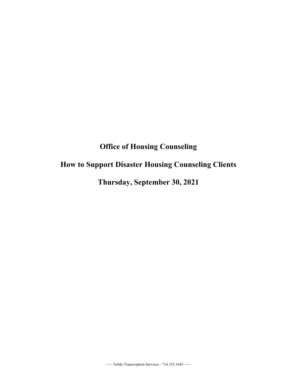## **Office of Housing Counseling**

## **How to Support Disaster Housing Counseling Clients**

**Thursday, September 30, 2021**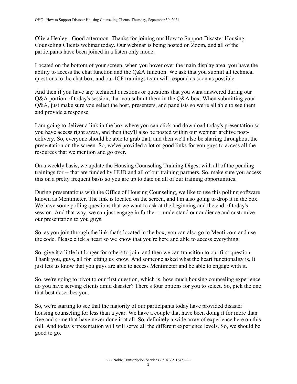Olivia Healey: Good afternoon. Thanks for joining our How to Support Disaster Housing Counseling Clients webinar today. Our webinar is being hosted on Zoom, and all of the participants have been joined in a listen only mode.

Located on the bottom of your screen, when you hover over the main display area, you have the ability to access the chat function and the Q&A function. We ask that you submit all technical questions to the chat box, and our ICF trainings team will respond as soon as possible.

 And then if you have any technical questions or questions that you want answered during our and provide a response. Q&A portion of today's session, that you submit them in the Q&A box. When submitting your Q&A, just make sure you select the host, presenters, and panelists so we're all able to see them

 presentation on the screen. So, we've provided a lot of good links for you guys to access all the I am going to deliver a link in the box where you can click and download today's presentation so you have access right away, and then they'll also be posted within our webinar archive postdelivery. So, everyone should be able to grab that, and then we'll also be sharing throughout the resources that we mention and go over.

 trainings for -- that are funded by HUD and all of our training partners. So, make sure you access On a weekly basis, we update the Housing Counseling Training Digest with all of the pending this on a pretty frequent basis so you are up to date on all of our training opportunities.

 session. And that way, we can just engage in further -- understand our audience and customize During presentations with the Office of Housing Counseling, we like to use this polling software known as Mentimeter. The link is located on the screen, and I'm also going to drop it in the box. We have some polling questions that we want to ask at the beginning and the end of today's our presentation to you guys.

So, as you join through the link that's located in the box, you can also go to Menti.com and use the code. Please click a heart so we know that you're here and able to access everything.

So, give it a little bit longer for others to join, and then we can transition to our first question. Thank you, guys, all for letting us know. And someone asked what the heart functionality is. It just lets us know that you guys are able to access Mentimeter and be able to engage with it.

So, we're going to pivot to our first question, which is, how much housing counseling experience do you have serving clients amid disaster? There's four options for you to select. So, pick the one that best describes you.

So, we're starting to see that the majority of our participants today have provided disaster housing counseling for less than a year. We have a couple that have been doing it for more than five and some that have never done it at all. So, definitely a wide array of experience here on this call. And today's presentation will will serve all the different experience levels. So, we should be good to go.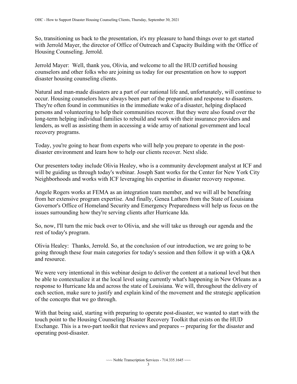So, transitioning us back to the presentation, it's my pleasure to hand things over to get started with Jerrold Mayer, the director of Office of Outreach and Capacity Building with the Office of Housing Counseling. Jerrold.

 counselors and other folks who are joining us today for our presentation on how to support Jerrold Mayer: Well, thank you, Olivia, and welcome to all the HUD certified housing disaster housing counseling clients.

Natural and man-made disasters are a part of our national life and, unfortunately, will continue to occur. Housing counselors have always been part of the preparation and response to disasters. They're often found in communities in the immediate wake of a disaster, helping displaced persons and volunteering to help their communities recover. But they were also found over the long-term helping individual families to rebuild and work with their insurance providers and lenders, as well as assisting them in accessing a wide array of national government and local recovery programs.

 disaster environment and learn how to help our clients recover. Next slide. Today, you're going to hear from experts who will help you prepare to operate in the post-

 Our presenters today include Olivia Healey, who is a community development analyst at ICF and will be guiding us through today's webinar. Joseph Sant works for the Center for New York City Neighborhoods and works with ICF leveraging his expertise in disaster recovery response.

 Angele Rogers works at FEMA as an integration team member, and we will all be benefiting from her extensive program expertise. And finally, Genea Lathers from the State of Louisiana Governor's Office of Homeland Security and Emergency Preparedness will help us focus on the issues surrounding how they're serving clients after Hurricane Ida.

 So, now, I'll turn the mic back over to Olivia, and she will take us through our agenda and the rest of today's program.

Olivia Healey: Thanks, Jerrold. So, at the conclusion of our introduction, we are going to be going through these four main categories for today's session and then follow it up with a Q&A and resource.

We were very intentional in this webinar design to deliver the content at a national level but then be able to contextualize it at the local level using currently what's happening in New Orleans as a response to Hurricane Ida and across the state of Louisiana. We will, throughout the delivery of each section, make sure to justify and explain kind of the movement and the strategic application of the concepts that we go through.

 Exchange. This is a two-part toolkit that reviews and prepares -- preparing for the disaster and With that being said, starting with preparing to operate post-disaster, we wanted to start with the touch point to the Housing Counseling Disaster Recovery Toolkit that exists on the HUD operating post-disaster.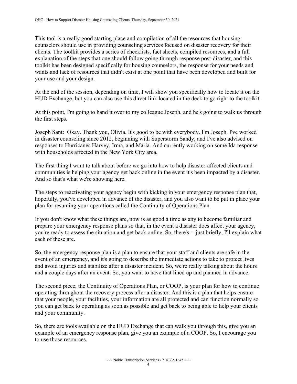This tool is a really good starting place and compilation of all the resources that housing counselors should use in providing counseling services focused on disaster recovery for their clients. The toolkit provides a series of checklists, fact sheets, compiled resources, and a full explanation of the steps that one should follow going through response post-disaster, and this toolkit has been designed specifically for housing counselors, the response for your needs and wants and lack of resources that didn't exist at one point that have been developed and built for your use and your design.

At the end of the session, depending on time, I will show you specifically how to locate it on the HUD Exchange, but you can also use this direct link located in the deck to go right to the toolkit.

At this point, I'm going to hand it over to my colleague Joseph, and he's going to walk us through the first steps.

Joseph Sant: Okay. Thank you, Olivia. It's good to be with everybody. I'm Joseph. I've worked in disaster counseling since 2012, beginning with Superstorm Sandy, and I've also advised on responses to Hurricanes Harvey, Irma, and Maria. And currently working on some Ida response with households affected in the New York City area.

The first thing I want to talk about before we go into how to help disaster-affected clients and communities is helping your agency get back online in the event it's been impacted by a disaster. And so that's what we're showing here.

The steps to reactivating your agency begin with kicking in your emergency response plan that, hopefully, you've developed in advance of the disaster, and you also want to be put in place your plan for resuming your operations called the Continuity of Operations Plan.

 you're ready to assess the situation and get back online. So, there's -- just briefly, I'll explain what If you don't know what these things are, now is as good a time as any to become familiar and prepare your emergency response plans so that, in the event a disaster does affect your agency, each of these are.

So, the emergency response plan is a plan to ensure that your staff and clients are safe in the event of an emergency, and it's going to describe the immediate actions to take to protect lives and avoid injuries and stabilize after a disaster incident. So, we're really talking about the hours and a couple days after an event. So, you want to have that lined up and planned in advance.

The second piece, the Continuity of Operations Plan, or COOP, is your plan for how to continue operating throughout the recovery process after a disaster. And this is a plan that helps ensure that your people, your facilities, your information are all protected and can function normally so you can get back to operating as soon as possible and get back to being able to help your clients and your community.

So, there are tools available on the HUD Exchange that can walk you through this, give you an example of an emergency response plan, give you an example of a COOP. So, I encourage you to use those resources.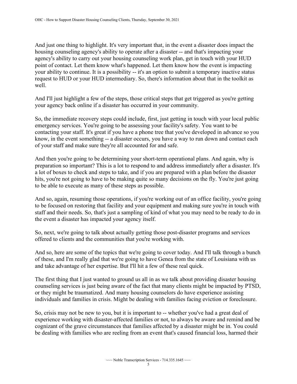housing counseling agency's ability to operate after a disaster -- and that's impacting your request to HUD or your HUD intermediary. So, there's information about that in the toolkit as And just one thing to highlight. It's very important that, in the event a disaster does impact the agency's ability to carry out your housing counseling work plan, get in touch with your HUD point of contact. Let them know what's happened. Let them know how the event is impacting your ability to continue. It is a possibility -- it's an option to submit a temporary inactive status well.

And I'll just highlight a few of the steps, those critical steps that get triggered as you're getting your agency back online if a disaster has occurred in your community.

So, the immediate recovery steps could include, first, just getting in touch with your local public emergency services. You're going to be assessing your facility's safety. You want to be contacting your staff. It's great if you have a phone tree that you've developed in advance so you know, in the event something -- a disaster occurs, you have a way to run down and contact each of your staff and make sure they're all accounted for and safe.

And then you're going to be determining your short-term operational plans. And again, why is preparation so important? This is a lot to respond to and address immediately after a disaster. It's a lot of boxes to check and steps to take, and if you are prepared with a plan before the disaster hits, you're not going to have to be making quite so many decisions on the fly. You're just going to be able to execute as many of these steps as possible.

And so, again, resuming those operations, if you're working out of an office facility, you're going to be focused on restoring that facility and your equipment and making sure you're in touch with staff and their needs. So, that's just a sampling of kind of what you may need to be ready to do in the event a disaster has impacted your agency itself.

offered to clients and the communities that you're working with. So, next, we're going to talk about actually getting those post-disaster programs and services

And so, here are some of the topics that we're going to cover today. And I'll talk through a bunch of these, and I'm really glad that we're going to have Genea from the state of Louisiana with us and take advantage of her expertise. But I'll hit a few of these real quick.

 or they might be traumatized. And many housing counselors do have experience assisting The first thing that I just wanted to ground us all in as we talk about providing disaster housing counseling services is just being aware of the fact that many clients might be impacted by PTSD, individuals and families in crisis. Might be dealing with families facing eviction or foreclosure.

So, crisis may not be new to you, but it is important to -- whether you've had a great deal of experience working with disaster-affected families or not, to always be aware and remind and be cognizant of the grave circumstances that families affected by a disaster might be in. You could be dealing with families who are reeling from an event that's caused financial loss, harmed their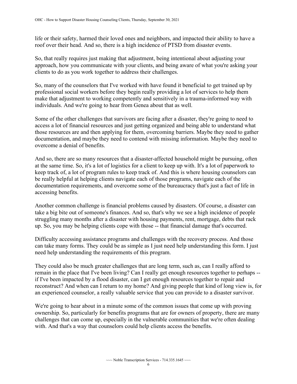life or their safety, harmed their loved ones and neighbors, and impacted their ability to have a roof over their head. And so, there is a high incidence of PTSD from disaster events.

 clients to do as you work together to address their challenges. So, that really requires just making that adjustment, being intentional about adjusting your approach, how you communicate with your clients, and being aware of what you're asking your

So, many of the counselors that I've worked with have found it beneficial to get trained up by professional social workers before they begin really providing a lot of services to help them make that adjustment to working competently and sensitively in a trauma-informed way with individuals. And we're going to hear from Genea about that as well.

Some of the other challenges that survivors are facing after a disaster, they're going to need to access a lot of financial resources and just getting organized and being able to understand what those resources are and then applying for them, overcoming barriers. Maybe they need to gather documentation, and maybe they need to contend with missing information. Maybe they need to overcome a denial of benefits.

And so, there are so many resources that a disaster-affected household might be pursuing, often at the same time. So, it's a lot of logistics for a client to keep up with. It's a lot of paperwork to keep track of, a lot of program rules to keep track of. And this is where housing counselors can be really helpful at helping clients navigate each of those programs, navigate each of the documentation requirements, and overcome some of the bureaucracy that's just a fact of life in accessing benefits.

 struggling many months after a disaster with housing payments, rent, mortgage, debts that rack up. So, you may be helping clients cope with those -- that financial damage that's occurred. Another common challenge is financial problems caused by disasters. Of course, a disaster can take a big bite out of someone's finances. And so, that's why we see a high incidence of people

Difficulty accessing assistance programs and challenges with the recovery process. And those can take many forms. They could be as simple as I just need help understanding this form. I just need help understanding the requirements of this program.

 remain in the place that I've been living? Can I really get enough resources together to perhaps -- They could also be much greater challenges that are long term, such as, can I really afford to if I've been impacted by a flood disaster, can I get enough resources together to repair and reconstruct? And when can I return to my home? And giving people that kind of long view is, for an experienced counselor, a really valuable service that you can provide to a disaster survivor.

We're going to hear about in a minute some of the common issues that come up with proving ownership. So, particularly for benefits programs that are for owners of property, there are many challenges that can come up, especially in the vulnerable communities that we're often dealing with. And that's a way that counselors could help clients access the benefits.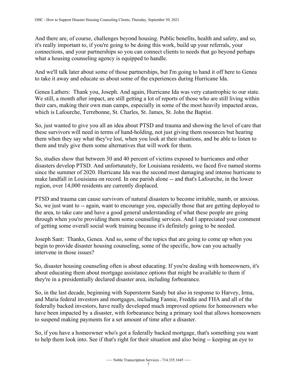And there are, of course, challenges beyond housing. Public benefits, health and safety, and so, it's really important to, if you're going to be doing this work, build up your referrals, your connections, and your partnerships so you can connect clients to needs that go beyond perhaps what a housing counseling agency is equipped to handle.

 to take it away and educate us about some of the experiences during Hurricane Ida. And we'll talk later about some of those partnerships, but I'm going to hand it off here to Genea

Genea Lathers: Thank you, Joseph. And again, Hurricane Ida was very catastrophic to our state. We still, a month after impact, are still getting a lot of reports of those who are still living within their cars, making their own man camps, especially in some of the most heavily impacted areas, which is Lafourche, Terrebonne, St. Charles, St. James, St. John the Baptist.

So, just wanted to give you all an idea about PTSD and trauma and showing the level of care that these survivors will need in terms of hand-holding, not just giving them resources but hearing them when they say what they've lost, when you look at their situations, and be able to listen to them and truly give them some alternatives that will work for them.

 So, studies show that between 30 and 40 percent of victims exposed to hurricanes and other since the summer of 2020. Hurricane Ida was the second most damaging and intense hurricane to disasters develop PTSD. And unfortunately, for Louisiana residents, we faced five named storms make landfall in Louisiana on record. In one parish alone -- and that's Lafourche, in the lower region, over 14,000 residents are currently displaced.

 So, we just want to -- again, want to encourage you, especially those that are getting deployed to PTSD and trauma can cause survivors of natural disasters to become irritable, numb, or anxious. the area, to take care and have a good general understanding of what these people are going through when you're providing them some counseling services. And I appreciated your comment of getting some overall social work training because it's definitely going to be needed.

Joseph Sant: Thanks, Genea. And so, some of the topics that are going to come up when you begin to provide disaster housing counseling, some of the specific, how can you actually intervene in those issues?

So, disaster housing counseling often is about educating. If you're dealing with homeowners, it's about educating them about mortgage assistance options that might be available to them if they're in a presidentially declared disaster area, including forbearance.

 to suspend making payments for a set amount of time after a disaster. So, in the last decade, beginning with Superstorm Sandy but also in response to Harvey, Irma, and Maria federal investors and mortgages, including Fannie, Freddie and FHA and all of the federally backed investors, have really developed much improved options for homeowners who have been impacted by a disaster, with forbearance being a primary tool that allows homeowners

So, if you have a homeowner who's got a federally backed mortgage, that's something you want to help them look into. See if that's right for their situation and also being -- keeping an eye to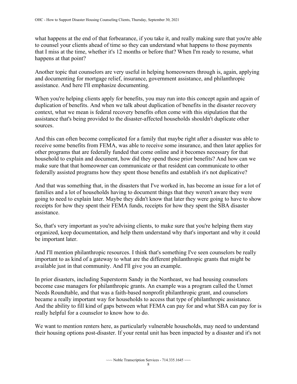what happens at the end of that forbearance, if you take it, and really making sure that you're able to counsel your clients ahead of time so they can understand what happens to those payments that I miss at the time, whether it's 12 months or before that? When I'm ready to resume, what happens at that point?

Another topic that counselors are very useful in helping homeowners through is, again, applying and documenting for mortgage relief, insurance, government assistance, and philanthropic assistance. And here I'll emphasize documenting.

When you're helping clients apply for benefits, you may run into this concept again and again of duplication of benefits. And when we talk about duplication of benefits in the disaster recovery context, what we mean is federal recovery benefits often come with this stipulation that the assistance that's being provided to the disaster-affected households shouldn't duplicate other sources.

 other programs that are federally funded that come online and it becomes necessary for that make sure that that homeowner can communicate or that resident can communicate to other federally assisted programs how they spent those benefits and establish it's not duplicative? And this can often become complicated for a family that maybe right after a disaster was able to receive some benefits from FEMA, was able to receive some insurance, and then later applies for household to explain and document, how did they spend those prior benefits? And how can we

federally assisted programs how they spent those benefits and establish it's not duplicative?<br>And that was something that, in the disasters that I've worked in, has become an issue for a lot of families and a lot of households having to document things that they weren't aware they were going to need to explain later. Maybe they didn't know that later they were going to have to show receipts for how they spent their FEMA funds, receipts for how they spent the SBA disaster assistance.

So, that's very important as you're advising clients, to make sure that you're helping them stay organized, keep documentation, and help them understand why that's important and why it could be important later.

And I'll mention philanthropic resources. I think that's something I've seen counselors be really important to as kind of a gateway to what are the different philanthropic grants that might be available just in that community. And I'll give you an example.

In prior disasters, including Superstorm Sandy in the Northeast, we had housing counselors become case managers for philanthropic grants. An example was a program called the Unmet Needs Roundtable, and that was a faith-based nonprofit philanthropic grant, and counselors became a really important way for households to access that type of philanthropic assistance. And the ability to fill kind of gaps between what FEMA can pay for and what SBA can pay for is really helpful for a counselor to know how to do.

We want to mention renters here, as particularly vulnerable households, may need to understand their housing options post-disaster. If your rental unit has been impacted by a disaster and it's not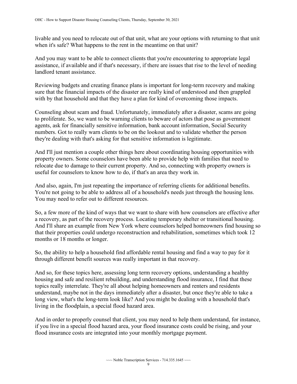when it's safe? What happens to the rent in the meantime on that unit? livable and you need to relocate out of that unit, what are your options with returning to that unit

And you may want to be able to connect clients that you're encountering to appropriate legal assistance, if available and if that's necessary, if there are issues that rise to the level of needing landlord tenant assistance.

Reviewing budgets and creating finance plans is important for long-term recovery and making sure that the financial impacts of the disaster are really kind of understood and then grappled with by that household and that they have a plan for kind of overcoming those impacts.

Counseling about scam and fraud. Unfortunately, immediately after a disaster, scams are going to proliferate. So, we want to be warning clients to beware of actors that pose as government agents, ask for financially sensitive information, bank account information, Social Security numbers. Got to really warn clients to be on the lookout and to validate whether the person they're dealing with that's asking for that sensitive information is legitimate.

And I'll just mention a couple other things here about coordinating housing opportunities with property owners. Some counselors have been able to provide help with families that need to relocate due to damage to their current property. And so, connecting with property owners is useful for counselors to know how to do, if that's an area they work in.

And also, again, I'm just repeating the importance of referring clients for additional benefits. You're not going to be able to address all of a household's needs just through the housing lens. You may need to refer out to different resources.

 a recovery, as part of the recovery process. Locating temporary shelter or transitional housing. So, a few more of the kind of ways that we want to share with how counselors are effective after And I'll share an example from New York where counselors helped homeowners find housing so that their properties could undergo reconstruction and rehabilitation, sometimes which took 12 months or 18 months or longer.

So, the ability to help a household find affordable rental housing and find a way to pay for it through different benefit sources was really important in that recovery.

And so, for these topics here, assessing long term recovery options, understanding a healthy housing and safe and resilient rebuilding, and understanding flood insurance, I find that these topics really interrelate. They're all about helping homeowners and renters and residents understand, maybe not in the days immediately after a disaster, but once they're able to take a long view, what's the long-term look like? And you might be dealing with a household that's living in the floodplain, a special flood hazard area.

 flood insurance costs are integrated into your monthly mortgage payment. And in order to properly counsel that client, you may need to help them understand, for instance, if you live in a special flood hazard area, your flood insurance costs could be rising, and your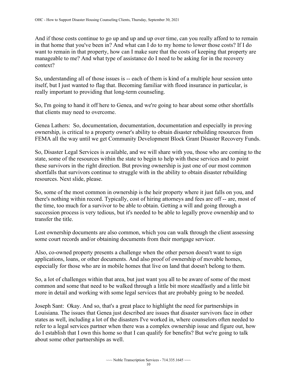in that home that you've been in? And what can I do to my home to lower those costs? If I do manageable to me? And what type of assistance do I need to be asking for in the recovery And if those costs continue to go up and up and up over time, can you really afford to to remain want to remain in that property, how can I make sure that the costs of keeping that property are context?

 So, understanding all of those issues is -- each of them is kind of a multiple hour session unto itself, but I just wanted to flag that. Becoming familiar with flood insurance in particular, is really important to providing that long-term counseling.

So, I'm going to hand it off here to Genea, and we're going to hear about some other shortfalls that clients may need to overcome.

Genea Lathers: So, documentation, documentation, documentation and especially in proving ownership, is critical to a property owner's ability to obtain disaster rebuilding resources from FEMA all the way until we get Community Development Block Grant Disaster Recovery Funds.

So, Disaster Legal Services is available, and we will share with you, those who are coming to the state, some of the resources within the state to begin to help with these services and to point these survivors in the right direction. But proving ownership is just one of our most common shortfalls that survivors continue to struggle with in the ability to obtain disaster rebuilding resources. Next slide, please.

 there's nothing within record. Typically, cost of hiring attorneys and fees are off -- are, most of So, some of the most common in ownership is the heir property where it just falls on you, and the time, too much for a survivor to be able to obtain. Getting a will and going through a succession process is very tedious, but it's needed to be able to legally prove ownership and to transfer the title.

Lost ownership documents are also common, which you can walk through the client assessing some court records and/or obtaining documents from their mortgage servicer.

Also, co-owned property presents a challenge when the other person doesn't want to sign applications, loans, or other documents. And also proof of ownership of movable homes, especially for those who are in mobile homes that live on land that doesn't belong to them.

So, a lot of challenges within that area, but just want you all to be aware of some of the most common and some that need to be walked through a little bit more steadfastly and a little bit more in detail and working with some legal services that are probably going to be needed.

 states as well, including a lot of the disasters I've worked in, where counselors often needed to Joseph Sant: Okay. And so, that's a great place to highlight the need for partnerships in Louisiana. The issues that Genea just described are issues that disaster survivors face in other refer to a legal services partner when there was a complex ownership issue and figure out, how do I establish that I own this home so that I can qualify for benefits? But we're going to talk about some other partnerships as well.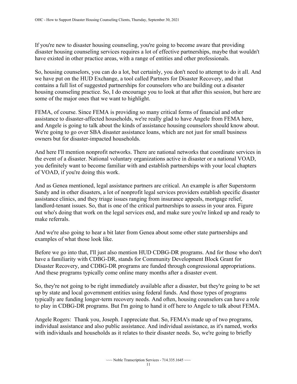If you're new to disaster housing counseling, you're going to become aware that providing disaster housing counseling services requires a lot of effective partnerships, maybe that wouldn't have existed in other practice areas, with a range of entities and other professionals.

 we have put on the HUD Exchange, a tool called Partners for Disaster Recovery, and that So, housing counselors, you can do a lot, but certainly, you don't need to attempt to do it all. And contains a full list of suggested partnerships for counselors who are building out a disaster housing counseling practice. So, I do encourage you to look at that after this session, but here are some of the major ones that we want to highlight.

FEMA, of course. Since FEMA is providing so many critical forms of financial and other assistance to disaster-affected households, we're really glad to have Angele from FEMA here, and Angele is going to talk about the kinds of assistance housing counselors should know about. We're going to go over SBA disaster assistance loans, which are not just for small business owners but for disaster-impacted households.

And here I'll mention nonprofit networks. There are national networks that coordinate services in the event of a disaster. National voluntary organizations active in disaster or a national VOAD, you definitely want to become familiar with and establish partnerships with your local chapters of VOAD, if you're doing this work.

And as Genea mentioned, legal assistance partners are critical. An example is after Superstorm Sandy and in other disasters, a lot of nonprofit legal services providers establish specific disaster assistance clinics, and they triage issues ranging from insurance appeals, mortgage relief, landlord-tenant issues. So, that is one of the critical partnerships to assess in your area. Figure out who's doing that work on the legal services end, and make sure you're linked up and ready to make referrals.

And we're also going to hear a bit later from Genea about some other state partnerships and examples of what those look like.

Before we go into that, I'll just also mention HUD CDBG-DR programs. And for those who don't have a familiarity with CDBG-DR, stands for Community Development Block Grant for Disaster Recovery, and CDBG-DR programs are funded through congressional appropriations. And these programs typically come online many months after a disaster event.

 typically are funding longer-term recovery needs. And often, housing counselors can have a role So, they're not going to be right immediately available after a disaster, but they're going to be set up by state and local government entities using federal funds. And those types of programs to play in CDBG-DR programs. But I'm going to hand it off here to Angele to talk about FEMA.

Angele Rogers: Thank you, Joseph. I appreciate that. So, FEMA's made up of two programs, individual assistance and also public assistance. And individual assistance, as it's named, works with individuals and households as it relates to their disaster needs. So, we're going to briefly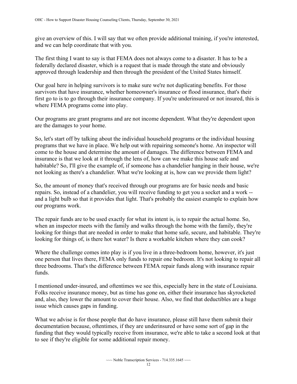give an overview of this. I will say that we often provide additional training, if you're interested, and we can help coordinate that with you.

The first thing I want to say is that FEMA does not always come to a disaster. It has to be a federally declared disaster, which is a request that is made through the state and obviously approved through leadership and then through the president of the United States himself.

Our goal here in helping survivors is to make sure we're not duplicating benefits. For those survivors that have insurance, whether homeowner's insurance or flood insurance, that's their first go to is to go through their insurance company. If you're underinsured or not insured, this is where FEMA programs come into play.

 are the damages to your home. Our programs are grant programs and are not income dependent. What they're dependent upon

not looking as there's a chandelier. What we're looking at is, how can we provide them light? So, let's start off by talking about the individual household programs or the individual housing programs that we have in place. We help out with repairing someone's home. An inspector will come to the house and determine the amount of damages. The difference between FEMA and insurance is that we look at it through the lens of, how can we make this house safe and habitable? So, I'll give the example of, if someone has a chandelier hanging in their house, we're

 repairs. So, instead of a chandelier, you will receive funding to get you a socket and a work -- So, the amount of money that's received through our programs are for basic needs and basic and a light bulb so that it provides that light. That's probably the easiest example to explain how our programs work.

The repair funds are to be used exactly for what its intent is, is to repair the actual home. So, when an inspector meets with the family and walks through the home with the family, they're looking for things that are needed in order to make that home safe, secure, and habitable. They're looking for things of, is there hot water? Is there a workable kitchen where they can cook?

Where the challenge comes into play is if you live in a three-bedroom home, however, it's just one person that lives there, FEMA only funds to repair one bedroom. It's not looking to repair all three bedrooms. That's the difference between FEMA repair funds along with insurance repair funds.

 and, also, they lower the amount to cover their house. Also, we find that deductibles are a huge I mentioned under-insured, and oftentimes we see this, especially here in the state of Louisiana. Folks receive insurance money, but as time has gone on, either their insurance has skyrocketed issue which causes gaps in funding.

 to see if they're eligible for some additional repair money. What we advise is for those people that do have insurance, please still have them submit their documentation because, oftentimes, if they are underinsured or have some sort of gap in the funding that they would typically receive from insurance, we're able to take a second look at that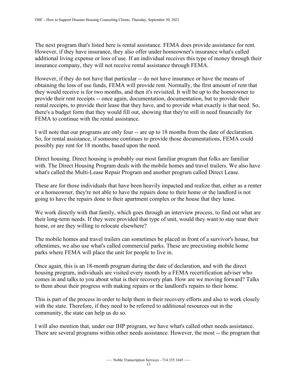The next program that's listed here is rental assistance. FEMA does provide assistance for rent. However, if they have insurance, they also offer under homeowner's insurance what's called additional living expense or loss of use. If an individual receives this type of money through their insurance company, they will not receive rental assistance through FEMA.

 However, if they do not have that particular -- do not have insurance or have the means of provide their rent receipts -- once again, documentation, documentation, but to provide their obtaining the loss of use funds, FEMA will provide rent. Normally, the first amount of rent that they would receive is for two months, and then it's revisited. It will be up to the homeowner to rental receipts, to provide their lease that they have, and to provide what exactly is that need. So, there's a budget form that they would fill out, showing that they're still in need financially for FEMA to continue with the rental assistance.

 I will note that our programs are only four -- are up to 18 months from the date of declaration. So, for rental assistance, if someone continues to provide those documentations, FEMA could possibly pay rent for 18 months, based upon the need.

 with. The Direct Housing Program deals with the mobile homes and travel trailers. We also have Direct housing. Direct housing is probably our most familiar program that folks are familiar what's called the Multi-Lease Repair Program and another program called Direct Lease.

 These are for those individuals that have been heavily impacted and realize that, either as a renter going to have the repairs done to their apartment complex or the house that they lease. or a homeowner, they're not able to have the repairs done to their home or the landlord is not

 home, or are they willing to relocate elsewhere? We work directly with that family, which goes through an interview process, to find out what are their long-term needs. If they were provided that type of unit, would they want to stay near their

 The mobile homes and travel trailers can sometimes be placed in front of a survivor's house, but oftentimes, we also use what's called commercial parks. These are preexisting mobile home parks where FEMA will place the unit for people to live in.

Once again, this is an 18-month program during the date of declaration, and with the direct housing program, individuals are visited every month by a FEMA recertification adviser who comes in and talks to you about what is their recovery plan. How are we moving forward? Talks to them about their progress with making repairs or the landlord's repairs to their home.

 with the state. Therefore, if they need to be referred to additional resources out in the This is part of the process in order to help them in their recovery efforts and also to work closely community, the state can help us do so.

 There are several programs within other needs assistance. However, the most -- the program that I will also mention that, under our IHP program, we have what's called other needs assistance.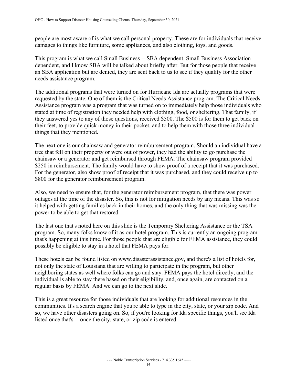people are most aware of is what we call personal property. These are for individuals that receive damages to things like furniture, some appliances, and also clothing, toys, and goods.

This program is what we call Small Business -- SBA dependent, Small Business Association dependent, and I know SBA will be talked about briefly after. But for those people that receive an SBA application but are denied, they are sent back to us to see if they qualify for the other needs assistance program.

 The additional programs that were turned on for Hurricane Ida are actually programs that were requested by the state. One of them is the Critical Needs Assistance program. The Critical Needs Assistance program was a program that was turned on to immediately help those individuals who stated at time of registration they needed help with clothing, food, or sheltering. That family, if they answered yes to any of those questions, received \$500. The \$500 is for them to get back on their feet, to provide quick money in their pocket, and to help them with those three individual things that they mentioned.

 chainsaw or a generator and get reimbursed through FEMA. The chainsaw program provided The next one is our chainsaw and generator reimbursement program. Should an individual have a tree that fell on their property or were out of power, they had the ability to go purchase the \$250 in reimbursement. The family would have to show proof of a receipt that it was purchased. For the generator, also show proof of receipt that it was purchased, and they could receive up to \$800 for the generator reimbursement program.

Also, we need to ensure that, for the generator reimbursement program, that there was power outages at the time of the disaster. So, this is not for mitigation needs by any means. This was so it helped with getting families back in their homes, and the only thing that was missing was the power to be able to get that restored.

The last one that's noted here on this slide is the Temporary Sheltering Assistance or the TSA program. So, many folks know of it as our hotel program. This is currently an ongoing program that's happening at this time. For those people that are eligible for FEMA assistance, they could possibly be eligible to stay in a hotel that FEMA pays for.

These hotels can be found listed on www.disasterassistance.gov, and there's a list of hotels for, not only the state of Louisiana that are willing to participate in the program, but other neighboring states as well where folks can go and stay. FEMA pays the hotel directly, and the individual is able to stay there based on their eligibility, and, once again, are contacted on a regular basis by FEMA. And we can go to the next slide.

 communities. It's a search engine that you're able to type in the city, state, or your zip code. And listed once that's -- once the city, state, or zip code is entered. This is a great resource for those individuals that are looking for additional resources in the so, we have other disasters going on. So, if you're looking for Ida specific things, you'll see Ida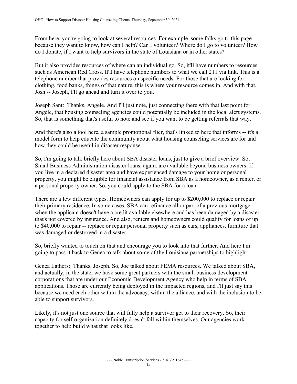do I donate, if I want to help survivors in the state of Louisiana or in other states? From here, you're going to look at several resources. For example, some folks go to this page because they want to know, how can I help? Can I volunteer? Where do I go to volunteer? How

 such as American Red Cross. It'll have telephone numbers to what we call 211 via link. This is a Josh -- Joseph, I'll go ahead and turn it over to you. But it also provides resources of where can an individual go. So, it'll have numbers to resources telephone number that provides resources on specific needs. For those that are looking for clothing, food banks, things of that nature, this is where your resource comes in. And with that,

Joseph Sant: Thanks, Angele. And I'll just note, just connecting there with that last point for Angele, that housing counseling agencies could potentially be included in the local alert systems. So, that is something that's useful to note and see if you want to be getting referrals that way.

 And there's also a tool here, a sample promotional flier, that's linked to here that informs -- it's a model form to help educate the community about what housing counseling services are for and how they could be useful in disaster response.

So, I'm going to talk briefly here about SBA disaster loans, just to give a brief overview. So, Small Business Administration disaster loans, again, are available beyond business owners. If you live in a declared disaster area and have experienced damage to your home or personal property, you might be eligible for financial assistance from SBA as a homeowner, as a renter, or a personal property owner. So, you could apply to the SBA for a loan.

 to \$40,000 to repair -- replace or repair personal property such as cars, appliances, furniture that There are a few different types. Homeowners can apply for up to \$200,000 to replace or repair their primary residence. In some cases, SBA can refinance all or part of a previous mortgage when the applicant doesn't have a credit available elsewhere and has been damaged by a disaster that's not covered by insurance. And also, renters and homeowners could qualify for loans of up was damaged or destroyed in a disaster.

 So, briefly wanted to touch on that and encourage you to look into that further. And here I'm going to pass it back to Genea to talk about some of the Louisiana partnerships to highlight.

able to support survivors. Genea Lathers: Thanks, Joseph. So, Joe talked about FEMA resources. We talked about SBA, and actually, in the state, we have some great partners with the small business development corporations that are under our Economic Development Agency who help in terms of SBA applications. Those are currently being deployed in the impacted regions, and I'll just say this because we need each other within the advocacy, within the alliance, and with the inclusion to be

Likely, it's not just one source that will fully help a survivor get to their recovery. So, their capacity for self-organization definitely doesn't fall within themselves. Our agencies work together to help build what that looks like.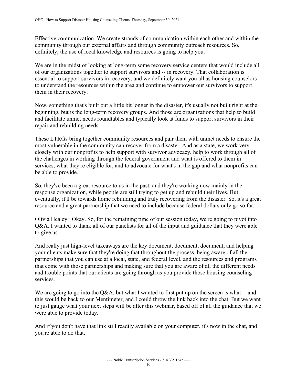Effective communication. We create strands of communication within each other and within the community through our external affairs and through community outreach resources. So, definitely, the use of local knowledge and resources is going to help you.

 of our organizations together to support survivors and -- in recovery. That collaboration is We are in the midst of looking at long-term some recovery service centers that would include all essential to support survivors in recovery, and we definitely want you all as housing counselors to understand the resources within the area and continue to empower our survivors to support them in their recovery.

Now, something that's built out a little bit longer in the disaster, it's usually not built right at the beginning, but is the long-term recovery groups. And those are organizations that help to build and facilitate unmet needs roundtables and typically look at funds to support survivors in their repair and rebuilding needs.

These LTRGs bring together community resources and pair them with unmet needs to ensure the most vulnerable in the community can recover from a disaster. And as a state, we work very closely with our nonprofits to help support with survivor advocacy, help to work through all of the challenges in working through the federal government and what is offered to them in services, what they're eligible for, and to advocate for what's in the gap and what nonprofits can be able to provide.

So, they've been a great resource to us in the past, and they're working now mainly in the response organization, while people are still trying to get up and rebuild their lives. But eventually, it'll be towards home rebuilding and truly recovering from the disaster. So, it's a great resource and a great partnership that we need to include because federal dollars only go so far.

Olivia Healey: Okay. So, for the remaining time of our session today, we're going to pivot into Q&A. I wanted to thank all of our panelists for all of the input and guidance that they were able to give us.

And really just high-level takeaways are the key document, document, document, and helping your clients make sure that they're doing that throughout the process, being aware of all the partnerships that you can use at a local, state, and federal level, and the resources and programs that come with those partnerships and making sure that you are aware of all the different needs and trouble points that our clients are going through as you provide those housing counseling services.

We are going to go into the Q&A, but what I wanted to first put up on the screen is what -- and this would be back to our Mentimeter, and I could throw the link back into the chat. But we want to just gauge what your next steps will be after this webinar, based off of all the guidance that we were able to provide today.

And if you don't have that link still readily available on your computer, it's now in the chat, and you're able to do that.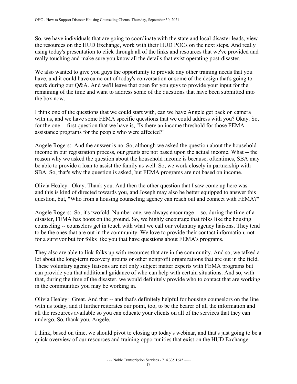So, we have individuals that are going to coordinate with the state and local disaster leads, view the resources on the HUD Exchange, work with their HUD POCs on the next steps. And really using today's presentation to click through all of the links and resources that we've provided and really touching and make sure you know all the details that exist operating post-disaster.

We also wanted to give you guys the opportunity to provide any other training needs that you have, and it could have came out of today's conversation or some of the design that's going to spark during our Q&A. And we'll leave that open for you guys to provide your input for the remaining of the time and want to address some of the questions that have been submitted into the box now.

 for the one -- first question that we have is, "Is there an income threshold for those FEMA I think one of the questions that we could start with, can we have Angele get back on camera with us, and we have some FEMA specific questions that we could address with you? Okay. So, assistance programs for the people who were affected?"

 income in our registration process, our grants are not based upon the actual income. What -- the Angele Rogers: And the answer is no. So, although we asked the question about the household reason why we asked the question about the household income is because, oftentimes, SBA may be able to provide a loan to assist the family as well. So, we work closely in partnership with SBA. So, that's why the question is asked, but FEMA programs are not based on income.

 Olivia Healey: Okay. Thank you. And then the other question that I saw come up here was -- and this is kind of directed towards you, and Joseph may also be better equipped to answer this question, but, "Who from a housing counseling agency can reach out and connect with FEMA?"

 Angele Rogers: So, it's twofold. Number one, we always encourage -- so, during the time of a counseling -- counselors get in touch with what we call our voluntary agency liaisons. They tend disaster, FEMA has boots on the ground. So, we highly encourage that folks like the housing to be the ones that are out in the community. We love to provide their contact information, not for a survivor but for folks like you that have questions about FEMA's programs.

They also are able to link folks up with resources that are in the community. And so, we talked a lot about the long-term recovery groups or other nonprofit organizations that are out in the field. These voluntary agency liaisons are not only subject matter experts with FEMA programs but can provide you that additional guidance of who can help with certain situations. And so, with that, during the time of the disaster, we would definitely provide who to contact that are working in the communities you may be working in.

Olivia Healey: Great. And that -- and that's definitely helpful for housing counselors on the line with us today, and it further reiterates our point, too, to be the bearer of all the information and all the resources available so you can educate your clients on all of the services that they can undergo. So, thank you, Angele.

I think, based on time, we should pivot to closing up today's webinar, and that's just going to be a quick overview of our resources and training opportunities that exist on the HUD Exchange.